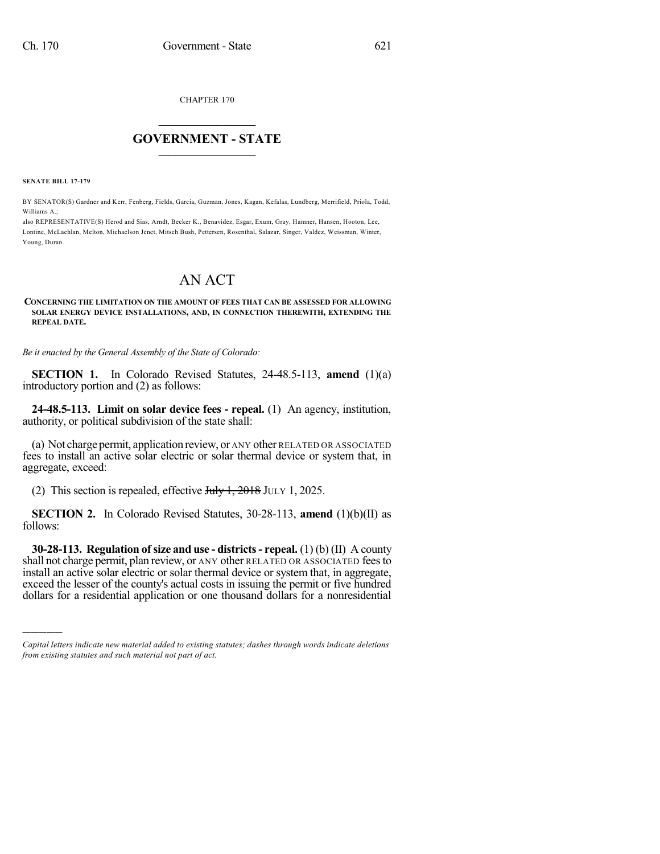CHAPTER 170

## $\overline{\phantom{a}}$  . The set of the set of the set of the set of the set of the set of the set of the set of the set of the set of the set of the set of the set of the set of the set of the set of the set of the set of the set o **GOVERNMENT - STATE**  $\_$

**SENATE BILL 17-179**

)))))

BY SENATOR(S) Gardner and Kerr, Fenberg, Fields, Garcia, Guzman, Jones, Kagan, Kefalas, Lundberg, Merrifield, Priola, Todd, Williams A.;

also REPRESENTATIVE(S) Herod and Sias, Arndt, Becker K., Benavidez, Esgar, Exum, Gray, Hamner, Hansen, Hooton, Lee, Lontine, McLachlan, Melton, Michaelson Jenet, Mitsch Bush, Pettersen, Rosenthal, Salazar, Singer, Valdez, Weissman, Winter, Young, Duran.

## AN ACT

## **CONCERNING THE LIMITATION ON THE AMOUNT OF FEES THAT CAN BE ASSESSED FOR ALLOWING SOLAR ENERGY DEVICE INSTALLATIONS, AND, IN CONNECTION THEREWITH, EXTENDING THE REPEAL DATE.**

*Be it enacted by the General Assembly of the State of Colorado:*

**SECTION 1.** In Colorado Revised Statutes, 24-48.5-113, **amend** (1)(a) introductory portion and (2) as follows:

**24-48.5-113. Limit on solar device fees - repeal.** (1) An agency, institution, authority, or political subdivision of the state shall:

(a) Not charge permit, application review, or ANY other RELATED OR ASSOCIATED fees to install an active solar electric or solar thermal device or system that, in aggregate, exceed:

(2) This section is repealed, effective  $J_{\text{t}}/J_{\text{t}}$ , 2018 JULY 1, 2025.

**SECTION 2.** In Colorado Revised Statutes, 30-28-113, **amend** (1)(b)(II) as follows:

**30-28-113. Regulation ofsize and use - districts- repeal.** (1) (b) (II) A county shall not charge permit, plan review, or ANY other RELATED OR ASSOCIATED feesto install an active solar electric or solar thermal device or system that, in aggregate, exceed the lesser of the county's actual costs in issuing the permit or five hundred dollars for a residential application or one thousand dollars for a nonresidential

*Capital letters indicate new material added to existing statutes; dashes through words indicate deletions from existing statutes and such material not part of act.*